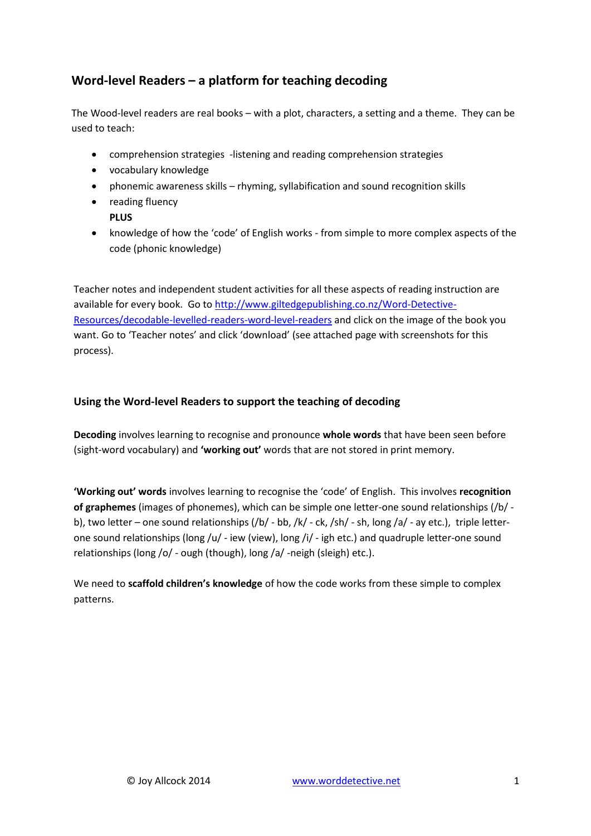# **Word-level Readers – a platform for teaching decoding**

The Wood-level readers are real books – with a plot, characters, a setting and a theme. They can be used to teach:

- comprehension strategies -listening and reading comprehension strategies
- vocabulary knowledge
- phonemic awareness skills rhyming, syllabification and sound recognition skills
- reading fluency **PLUS**
- knowledge of how the 'code' of English works from simple to more complex aspects of the code (phonic knowledge)

Teacher notes and independent student activities for all these aspects of reading instruction are available for every book. Go t[o http://www.giltedgepublishing.co.nz/Word-Detective-](http://www.giltedgepublishing.co.nz/Word-Detective-Resources/decodable-levelled-readers-word-level-readers)[Resources/decodable-levelled-readers-word-level-readers](http://www.giltedgepublishing.co.nz/Word-Detective-Resources/decodable-levelled-readers-word-level-readers) and click on the image of the book you want. Go to 'Teacher notes' and click 'download' (see attached page with screenshots for this process).

# **Using the Word-level Readers to support the teaching of decoding**

**Decoding** involves learning to recognise and pronounce **whole words** that have been seen before (sight-word vocabulary) and **'working out'** words that are not stored in print memory.

**'Working out' words** involves learning to recognise the 'code' of English. This involves **recognition of graphemes** (images of phonemes), which can be simple one letter-one sound relationships (/b/ b), two letter – one sound relationships (/b/ - bb, /k/ - ck, /sh/ - sh, long /a/ - ay etc.), triple letterone sound relationships (long /u/ - iew (view), long /i/ - igh etc.) and quadruple letter-one sound relationships (long /o/ - ough (though), long /a/ -neigh (sleigh) etc.).

We need to **scaffold children's knowledge** of how the code works from these simple to complex patterns.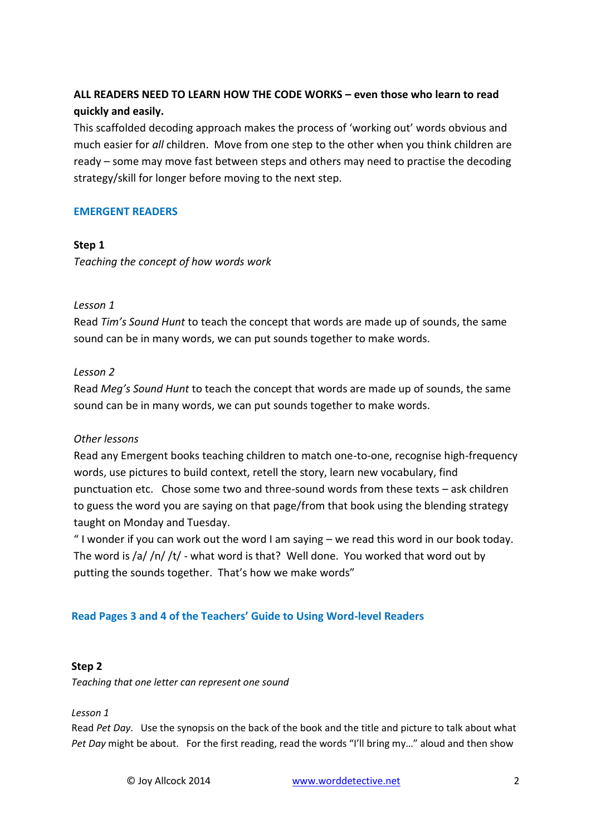# **ALL READERS NEED TO LEARN HOW THE CODE WORKS – even those who learn to read quickly and easily.**

This scaffolded decoding approach makes the process of 'working out' words obvious and much easier for *all* children. Move from one step to the other when you think children are ready – some may move fast between steps and others may need to practise the decoding strategy/skill for longer before moving to the next step.

## **EMERGENT READERS**

## **Step 1**

*Teaching the concept of how words work*

## *Lesson 1*

Read *Tim's Sound Hunt* to teach the concept that words are made up of sounds, the same sound can be in many words, we can put sounds together to make words.

## *Lesson 2*

Read *Meg's Sound Hunt* to teach the concept that words are made up of sounds, the same sound can be in many words, we can put sounds together to make words.

## *Other lessons*

Read any Emergent books teaching children to match one-to-one, recognise high-frequency words, use pictures to build context, retell the story, learn new vocabulary, find punctuation etc. Chose some two and three-sound words from these texts – ask children to guess the word you are saying on that page/from that book using the blending strategy taught on Monday and Tuesday.

" I wonder if you can work out the word I am saying – we read this word in our book today. The word is /a/ /n/ /t/ - what word is that? Well done. You worked that word out by putting the sounds together. That's how we make words"

# **Read Pages 3 and 4 of the Teachers' Guide to Using Word-level Readers**

## **Step 2**

*Teaching that one letter can represent one sound*

*Lesson 1* 

Read *Pet Day*. Use the synopsis on the back of the book and the title and picture to talk about what *Pet Day* might be about. For the first reading, read the words "I'll bring my…" aloud and then show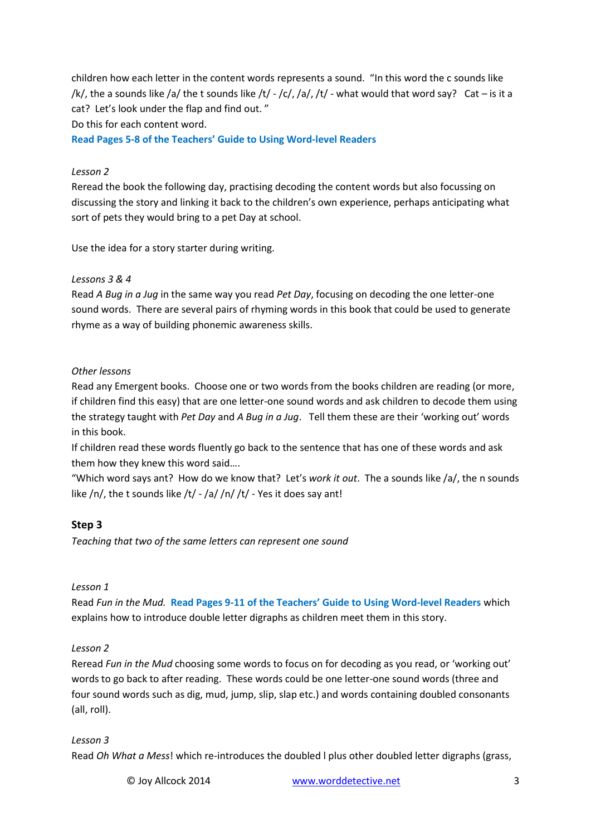children how each letter in the content words represents a sound. "In this word the c sounds like /k/, the a sounds like /a/ the t sounds like /t/ - /c/, /a/, /t/ - what would that word say? Cat – is it a cat? Let's look under the flap and find out. "

Do this for each content word.

**Read Pages 5-8 of the Teachers' Guide to Using Word-level Readers**

#### *Lesson 2*

Reread the book the following day, practising decoding the content words but also focussing on discussing the story and linking it back to the children's own experience, perhaps anticipating what sort of pets they would bring to a pet Day at school.

Use the idea for a story starter during writing.

#### *Lessons 3 & 4*

Read *A Bug in a Jug* in the same way you read *Pet Day*, focusing on decoding the one letter-one sound words. There are several pairs of rhyming words in this book that could be used to generate rhyme as a way of building phonemic awareness skills.

#### *Other lessons*

Read any Emergent books. Choose one or two words from the books children are reading (or more, if children find this easy) that are one letter-one sound words and ask children to decode them using the strategy taught with *Pet Day* and *A Bug in a Jug*. Tell them these are their 'working out' words in this book.

If children read these words fluently go back to the sentence that has one of these words and ask them how they knew this word said….

"Which word says ant? How do we know that? Let's *work it out*. The a sounds like /a/, the n sounds like  $/n/$ , the t sounds like  $/t/ - Ia/ /n/ /t/ - Yes$  it does say ant!

## **Step 3**

*Teaching that two of the same letters can represent one sound*

#### *Lesson 1*

Read *Fun in the Mud.* **Read Pages 9-11 of the Teachers' Guide to Using Word-level Readers** which explains how to introduce double letter digraphs as children meet them in this story.

## *Lesson 2*

Reread *Fun in the Mud* choosing some words to focus on for decoding as you read, or 'working out' words to go back to after reading. These words could be one letter-one sound words (three and four sound words such as dig, mud, jump, slip, slap etc.) and words containing doubled consonants (all, roll).

## *Lesson 3*

Read *Oh What a Mess*! which re-introduces the doubled l plus other doubled letter digraphs (grass,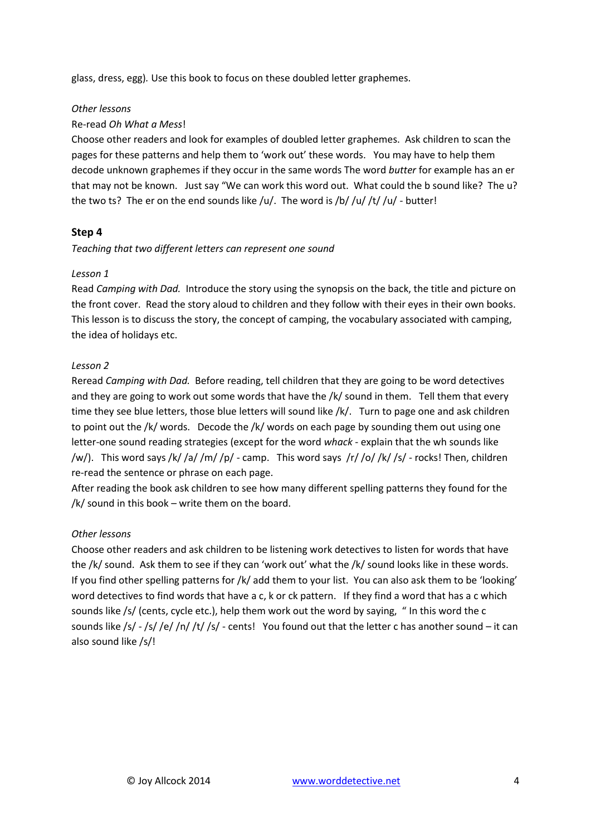glass, dress, egg)*.* Use this book to focus on these doubled letter graphemes.

#### *Other lessons*

## Re-read *Oh What a Mess*!

Choose other readers and look for examples of doubled letter graphemes. Ask children to scan the pages for these patterns and help them to 'work out' these words. You may have to help them decode unknown graphemes if they occur in the same words The word *butter* for example has an er that may not be known. Just say "We can work this word out. What could the b sound like? The u? the two ts? The er on the end sounds like /u/. The word is /b/ /u/ /t/ /u/ - butter!

## **Step 4**

*Teaching that two different letters can represent one sound*

## *Lesson 1*

Read *Camping with Dad.* Introduce the story using the synopsis on the back, the title and picture on the front cover. Read the story aloud to children and they follow with their eyes in their own books. This lesson is to discuss the story, the concept of camping, the vocabulary associated with camping, the idea of holidays etc.

## *Lesson 2*

Reread *Camping with Dad.* Before reading, tell children that they are going to be word detectives and they are going to work out some words that have the /k/ sound in them. Tell them that every time they see blue letters, those blue letters will sound like /k/. Turn to page one and ask children to point out the /k/ words. Decode the /k/ words on each page by sounding them out using one letter-one sound reading strategies (except for the word *whack* - explain that the wh sounds like /w/). This word says /k/ /a/ /m/ /p/ - camp. This word says /r/ /o/ /k/ /s/ - rocks! Then, children re-read the sentence or phrase on each page.

After reading the book ask children to see how many different spelling patterns they found for the /k/ sound in this book – write them on the board.

## *Other lessons*

Choose other readers and ask children to be listening work detectives to listen for words that have the /k/ sound. Ask them to see if they can 'work out' what the /k/ sound looks like in these words. If you find other spelling patterns for /k/ add them to your list. You can also ask them to be 'looking' word detectives to find words that have a c, k or ck pattern. If they find a word that has a c which sounds like /s/ (cents, cycle etc.), help them work out the word by saying, " In this word the c sounds like /s/ - /s/ /e/ /n/ /t/ /s/ - cents! You found out that the letter c has another sound – it can also sound like /s/!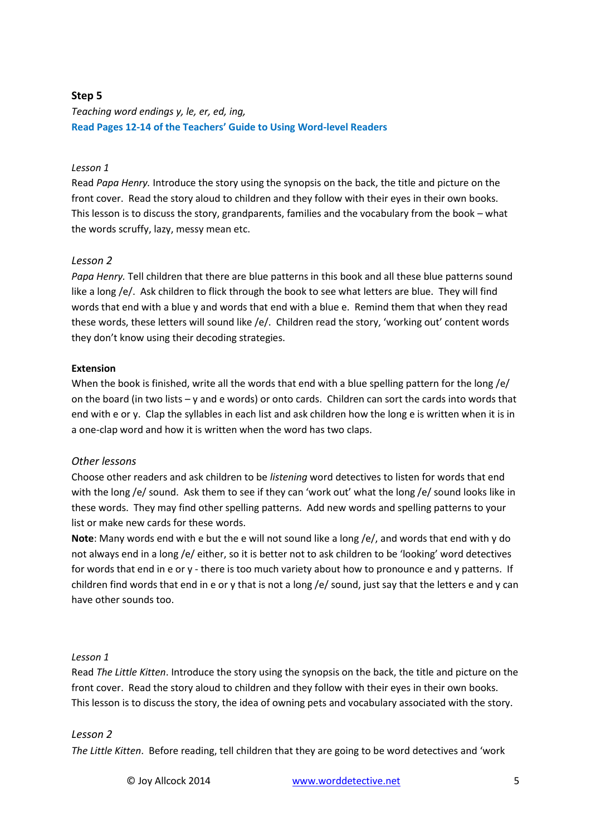## **Step 5**

*Teaching word endings y, le, er, ed, ing,* **Read Pages 12-14 of the Teachers' Guide to Using Word-level Readers**

## *Lesson 1*

Read *Papa Henry.* Introduce the story using the synopsis on the back, the title and picture on the front cover. Read the story aloud to children and they follow with their eyes in their own books. This lesson is to discuss the story, grandparents, families and the vocabulary from the book – what the words scruffy, lazy, messy mean etc.

## *Lesson 2*

*Papa Henry.* Tell children that there are blue patterns in this book and all these blue patterns sound like a long /e/. Ask children to flick through the book to see what letters are blue. They will find words that end with a blue y and words that end with a blue e. Remind them that when they read these words, these letters will sound like /e/. Children read the story, 'working out' content words they don't know using their decoding strategies.

#### **Extension**

When the book is finished, write all the words that end with a blue spelling pattern for the long /e/ on the board (in two lists – y and e words) or onto cards. Children can sort the cards into words that end with e or y. Clap the syllables in each list and ask children how the long e is written when it is in a one-clap word and how it is written when the word has two claps.

#### *Other lessons*

Choose other readers and ask children to be *listening* word detectives to listen for words that end with the long /e/ sound. Ask them to see if they can 'work out' what the long /e/ sound looks like in these words. They may find other spelling patterns. Add new words and spelling patterns to your list or make new cards for these words.

**Note**: Many words end with e but the e will not sound like a long /e/, and words that end with y do not always end in a long /e/ either, so it is better not to ask children to be 'looking' word detectives for words that end in e or y - there is too much variety about how to pronounce e and y patterns. If children find words that end in e or y that is not a long /e/ sound, just say that the letters e and y can have other sounds too.

#### *Lesson 1*

Read *The Little Kitten*. Introduce the story using the synopsis on the back, the title and picture on the front cover. Read the story aloud to children and they follow with their eyes in their own books. This lesson is to discuss the story, the idea of owning pets and vocabulary associated with the story.

#### *Lesson 2*

*The Little Kitten*.Before reading, tell children that they are going to be word detectives and 'work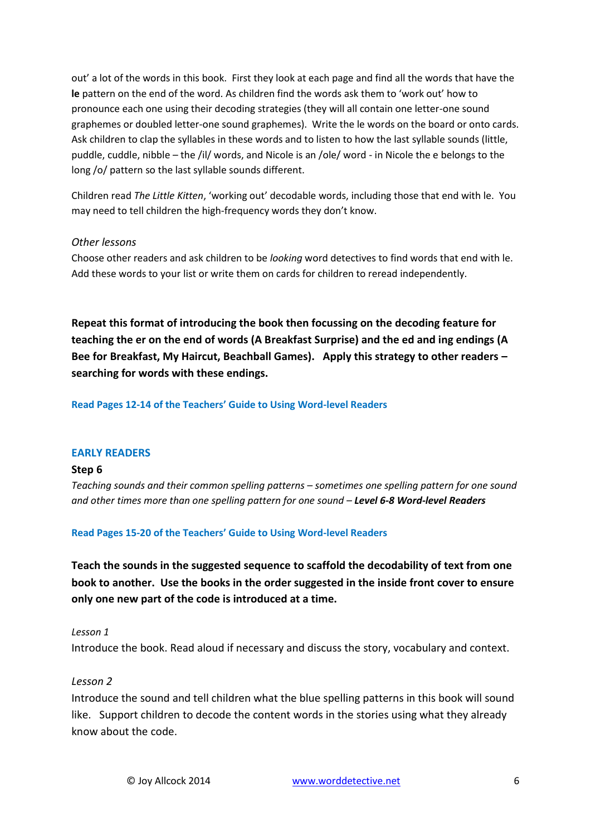out' a lot of the words in this book. First they look at each page and find all the words that have the **le** pattern on the end of the word. As children find the words ask them to 'work out' how to pronounce each one using their decoding strategies (they will all contain one letter-one sound graphemes or doubled letter-one sound graphemes). Write the le words on the board or onto cards. Ask children to clap the syllables in these words and to listen to how the last syllable sounds (little, puddle, cuddle, nibble – the /il/ words, and Nicole is an /ole/ word - in Nicole the e belongs to the long /o/ pattern so the last syllable sounds different.

Children read *The Little Kitten*, 'working out' decodable words, including those that end with le. You may need to tell children the high-frequency words they don't know.

#### *Other lessons*

Choose other readers and ask children to be *looking* word detectives to find words that end with le. Add these words to your list or write them on cards for children to reread independently.

**Repeat this format of introducing the book then focussing on the decoding feature for teaching the er on the end of words (A Breakfast Surprise) and the ed and ing endings (A Bee for Breakfast, My Haircut, Beachball Games). Apply this strategy to other readers – searching for words with these endings.**

**Read Pages 12-14 of the Teachers' Guide to Using Word-level Readers**

#### **EARLY READERS**

#### **Step 6**

*Teaching sounds and their common spelling patterns – sometimes one spelling pattern for one sound and other times more than one spelling pattern for one sound – Level 6-8 Word-level Readers*

**Read Pages 15-20 of the Teachers' Guide to Using Word-level Readers**

**Teach the sounds in the suggested sequence to scaffold the decodability of text from one book to another. Use the books in the order suggested in the inside front cover to ensure only one new part of the code is introduced at a time.**

#### *Lesson 1*

Introduce the book. Read aloud if necessary and discuss the story, vocabulary and context.

## *Lesson 2*

Introduce the sound and tell children what the blue spelling patterns in this book will sound like. Support children to decode the content words in the stories using what they already know about the code.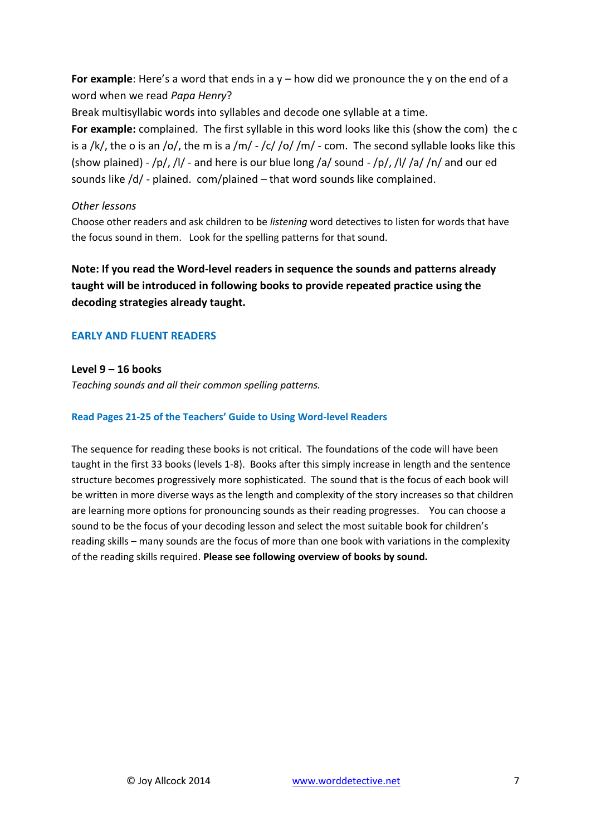**For example**: Here's a word that ends in a y – how did we pronounce the y on the end of a word when we read *Papa Henry*?

Break multisyllabic words into syllables and decode one syllable at a time.

**For example:** complained. The first syllable in this word looks like this (show the com) the c is a /k/, the o is an /o/, the m is a /m/ - /c/ /o/ /m/ - com. The second syllable looks like this (show plained) -  $/p/$ , /l/ - and here is our blue long /a/ sound -  $/p/$ , /l/ /a/ /n/ and our ed sounds like /d/ - plained. com/plained – that word sounds like complained.

## *Other lessons*

Choose other readers and ask children to be *listening* word detectives to listen for words that have the focus sound in them. Look for the spelling patterns for that sound.

**Note: If you read the Word-level readers in sequence the sounds and patterns already taught will be introduced in following books to provide repeated practice using the decoding strategies already taught.**

## **EARLY AND FLUENT READERS**

**Level 9 – 16 books**

*Teaching sounds and all their common spelling patterns.*

#### **Read Pages 21-25 of the Teachers' Guide to Using Word-level Readers**

The sequence for reading these books is not critical. The foundations of the code will have been taught in the first 33 books (levels 1-8). Books after this simply increase in length and the sentence structure becomes progressively more sophisticated. The sound that is the focus of each book will be written in more diverse ways as the length and complexity of the story increases so that children are learning more options for pronouncing sounds as their reading progresses. You can choose a sound to be the focus of your decoding lesson and select the most suitable book for children's reading skills – many sounds are the focus of more than one book with variations in the complexity of the reading skills required. **Please see following overview of books by sound.**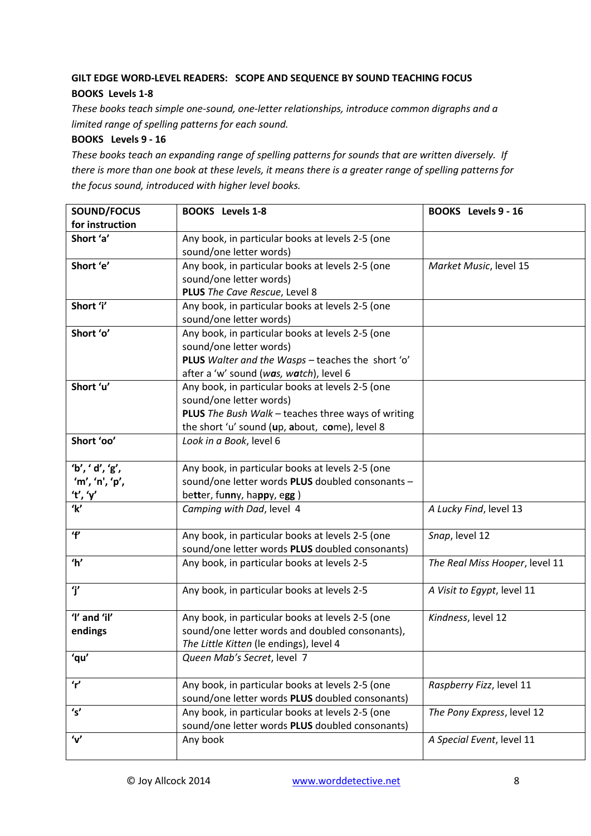# **GILT EDGE WORD-LEVEL READERS: SCOPE AND SEQUENCE BY SOUND TEACHING FOCUS BOOKS Levels 1-8**

*These books teach simple one-sound, one-letter relationships, introduce common digraphs and a limited range of spelling patterns for each sound.*

## **BOOKS Levels 9 - 16**

*These books teach an expanding range of spelling patterns for sounds that are written diversely. If there is more than one book at these levels, it means there is a greater range of spelling patterns for the focus sound, introduced with higher level books.*

| SOUND/FOCUS               | <b>BOOKS</b> Levels 1-8                                                     | <b>BOOKS</b> Levels 9 - 16     |
|---------------------------|-----------------------------------------------------------------------------|--------------------------------|
| for instruction           |                                                                             |                                |
| Short 'a'                 | Any book, in particular books at levels 2-5 (one<br>sound/one letter words) |                                |
| Short 'e'                 | Any book, in particular books at levels 2-5 (one                            | Market Music, level 15         |
|                           | sound/one letter words)                                                     |                                |
|                           | PLUS The Cave Rescue, Level 8                                               |                                |
| Short 'i'                 | Any book, in particular books at levels 2-5 (one                            |                                |
|                           | sound/one letter words)                                                     |                                |
| Short 'o'                 | Any book, in particular books at levels 2-5 (one                            |                                |
|                           | sound/one letter words)                                                     |                                |
|                           | PLUS Walter and the Wasps - teaches the short 'o'                           |                                |
|                           | after a 'w' sound (was, watch), level 6                                     |                                |
| Short 'u'                 | Any book, in particular books at levels 2-5 (one                            |                                |
|                           | sound/one letter words)                                                     |                                |
|                           | PLUS The Bush Walk - teaches three ways of writing                          |                                |
|                           | the short 'u' sound (up, about, come), level 8                              |                                |
| Short 'oo'                | Look in a Book, level 6                                                     |                                |
| 'b', 'd', 'g',            | Any book, in particular books at levels 2-5 (one                            |                                |
| 'm', 'n', 'p',            | sound/one letter words PLUS doubled consonants -                            |                                |
| <u>'t', 'γ'</u>           | better, funny, happy, egg)                                                  |                                |
| $\overline{\mathbf{k'}}$  | Camping with Dad, level 4                                                   | A Lucky Find, level 13         |
| $\mathbf{r}$              | Any book, in particular books at levels 2-5 (one                            | Snap, level 12                 |
|                           | sound/one letter words PLUS doubled consonants)                             |                                |
| $^{\prime}$ h'            | Any book, in particular books at levels 2-5                                 | The Real Miss Hooper, level 11 |
| 'i'                       | Any book, in particular books at levels 2-5                                 | A Visit to Egypt, level 11     |
| 'I' and 'il'              | Any book, in particular books at levels 2-5 (one                            | Kindness, level 12             |
| endings                   | sound/one letter words and doubled consonants),                             |                                |
|                           | The Little Kitten (le endings), level 4                                     |                                |
| 'qu'                      | Queen Mab's Secret, level 7                                                 |                                |
| r'                        | Any book, in particular books at levels 2-5 (one                            | Raspberry Fizz, level 11       |
|                           | sound/one letter words PLUS doubled consonants)                             |                                |
| 's'                       | Any book, in particular books at levels 2-5 (one                            | The Pony Express, level 12     |
|                           | sound/one letter words PLUS doubled consonants)                             |                                |
| $^{\prime}$ v $^{\prime}$ | Any book                                                                    | A Special Event, level 11      |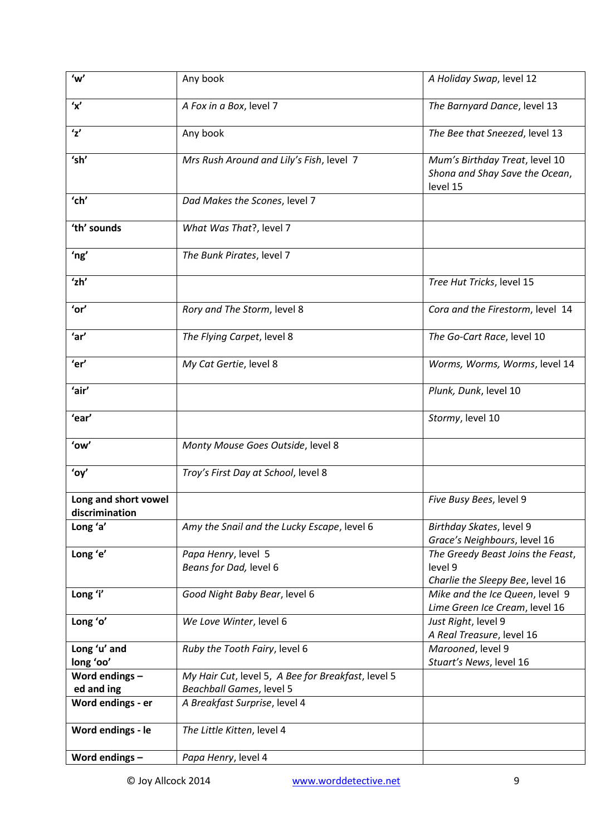| 'w'                                    | Any book                                           | A Holiday Swap, level 12                                                         |
|----------------------------------------|----------------------------------------------------|----------------------------------------------------------------------------------|
| 'x'                                    | A Fox in a Box, level 7                            | The Barnyard Dance, level 13                                                     |
| $\mathbf{z}'$                          | Any book                                           | The Bee that Sneezed, level 13                                                   |
| 'sh'                                   | Mrs Rush Around and Lily's Fish, level 7           | Mum's Birthday Treat, level 10<br>Shona and Shay Save the Ocean,<br>level 15     |
| 'ch'                                   | Dad Makes the Scones, level 7                      |                                                                                  |
| 'th' sounds                            | What Was That?, level 7                            |                                                                                  |
| 'ng'                                   | The Bunk Pirates, level 7                          |                                                                                  |
| ʻzh'                                   |                                                    | Tree Hut Tricks, level 15                                                        |
| 'or'                                   | Rory and The Storm, level 8                        | Cora and the Firestorm, level 14                                                 |
| 'ar'                                   | The Flying Carpet, level 8                         | The Go-Cart Race, level 10                                                       |
| 'er'                                   | My Cat Gertie, level 8                             | Worms, Worms, Worms, level 14                                                    |
| 'air'                                  |                                                    | Plunk, Dunk, level 10                                                            |
| 'ear'                                  |                                                    | Stormy, level 10                                                                 |
| 'ow'                                   | Monty Mouse Goes Outside, level 8                  |                                                                                  |
| 'oy'                                   | Troy's First Day at School, level 8                |                                                                                  |
| Long and short vowel<br>discrimination |                                                    | Five Busy Bees, level 9                                                          |
| Long 'a'                               | Amy the Snail and the Lucky Escape, level 6        | Birthday Skates, level 9<br>Grace's Neighbours, level 16                         |
| Long 'e'                               | Papa Henry, level 5<br>Beans for Dad, level 6      | The Greedy Beast Joins the Feast,<br>level 9<br>Charlie the Sleepy Bee, level 16 |
| Long 'i'                               | Good Night Baby Bear, level 6                      | Mike and the Ice Queen, level 9<br>Lime Green Ice Cream, level 16                |
| Long 'o'                               | We Love Winter, level 6                            | Just Right, level 9<br>A Real Treasure, level 16                                 |
| Long 'u' and<br>long 'oo'              | Ruby the Tooth Fairy, level 6                      | Marooned, level 9<br>Stuart's News, level 16                                     |
| Word endings -                         | My Hair Cut, level 5, A Bee for Breakfast, level 5 |                                                                                  |
| ed and ing                             | Beachball Games, level 5                           |                                                                                  |
| Word endings - er                      | A Breakfast Surprise, level 4                      |                                                                                  |
| Word endings - le                      | The Little Kitten, level 4                         |                                                                                  |
| Word endings -                         | Papa Henry, level 4                                |                                                                                  |